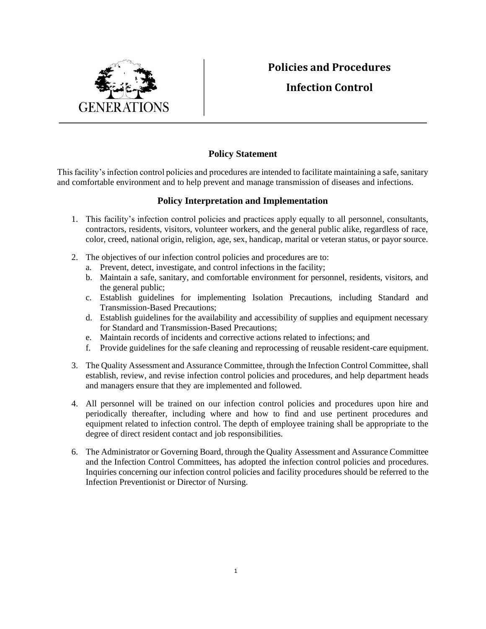## **Policies and Procedures**



## **Infection Control**

## **Policy Statement**

This facility's infection control policies and procedures are intended to facilitate maintaining a safe, sanitary and comfortable environment and to help prevent and manage transmission of diseases and infections.

## **Policy Interpretation and Implementation**

- 1. This facility's infection control policies and practices apply equally to all personnel, consultants, contractors, residents, visitors, volunteer workers, and the general public alike, regardless of race, color, creed, national origin, religion, age, sex, handicap, marital or veteran status, or payor source.
- 2. The objectives of our infection control policies and procedures are to:
	- a. Prevent, detect, investigate, and control infections in the facility;
	- b. Maintain a safe, sanitary, and comfortable environment for personnel, residents, visitors, and the general public;
	- c. Establish guidelines for implementing Isolation Precautions, including Standard and Transmission-Based Precautions;
	- d. Establish guidelines for the availability and accessibility of supplies and equipment necessary for Standard and Transmission-Based Precautions;
	- e. Maintain records of incidents and corrective actions related to infections; and
	- f. Provide guidelines for the safe cleaning and reprocessing of reusable resident-care equipment.
- 3. The Quality Assessment and Assurance Committee, through the Infection Control Committee, shall establish, review, and revise infection control policies and procedures, and help department heads and managers ensure that they are implemented and followed.
- 4. All personnel will be trained on our infection control policies and procedures upon hire and periodically thereafter, including where and how to find and use pertinent procedures and equipment related to infection control. The depth of employee training shall be appropriate to the degree of direct resident contact and job responsibilities.
- 6. The Administrator or Governing Board, through the Quality Assessment and Assurance Committee and the Infection Control Committees, has adopted the infection control policies and procedures. Inquiries concerning our infection control policies and facility procedures should be referred to the Infection Preventionist or Director of Nursing.